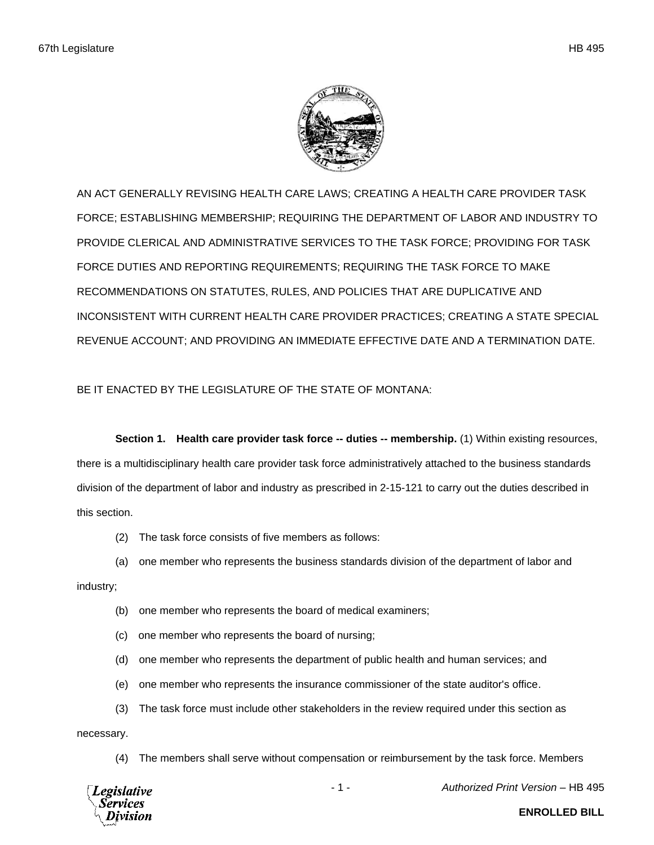

AN ACT GENERALLY REVISING HEALTH CARE LAWS; CREATING A HEALTH CARE PROVIDER TASK FORCE; ESTABLISHING MEMBERSHIP; REQUIRING THE DEPARTMENT OF LABOR AND INDUSTRY TO PROVIDE CLERICAL AND ADMINISTRATIVE SERVICES TO THE TASK FORCE; PROVIDING FOR TASK FORCE DUTIES AND REPORTING REQUIREMENTS; REQUIRING THE TASK FORCE TO MAKE RECOMMENDATIONS ON STATUTES, RULES, AND POLICIES THAT ARE DUPLICATIVE AND INCONSISTENT WITH CURRENT HEALTH CARE PROVIDER PRACTICES; CREATING A STATE SPECIAL REVENUE ACCOUNT; AND PROVIDING AN IMMEDIATE EFFECTIVE DATE AND A TERMINATION DATE.

## BE IT ENACTED BY THE LEGISLATURE OF THE STATE OF MONTANA:

**Section 1. Health care provider task force -- duties -- membership.** (1) Within existing resources, there is a multidisciplinary health care provider task force administratively attached to the business standards division of the department of labor and industry as prescribed in 2-15-121 to carry out the duties described in this section.

(2) The task force consists of five members as follows:

(a) one member who represents the business standards division of the department of labor and industry;

- (b) one member who represents the board of medical examiners;
- (c) one member who represents the board of nursing;
- (d) one member who represents the department of public health and human services; and
- (e) one member who represents the insurance commissioner of the state auditor's office.
- (3) The task force must include other stakeholders in the review required under this section as necessary.
	- (4) The members shall serve without compensation or reimbursement by the task force. Members



- 1 - *Authorized Print Version* – HB 495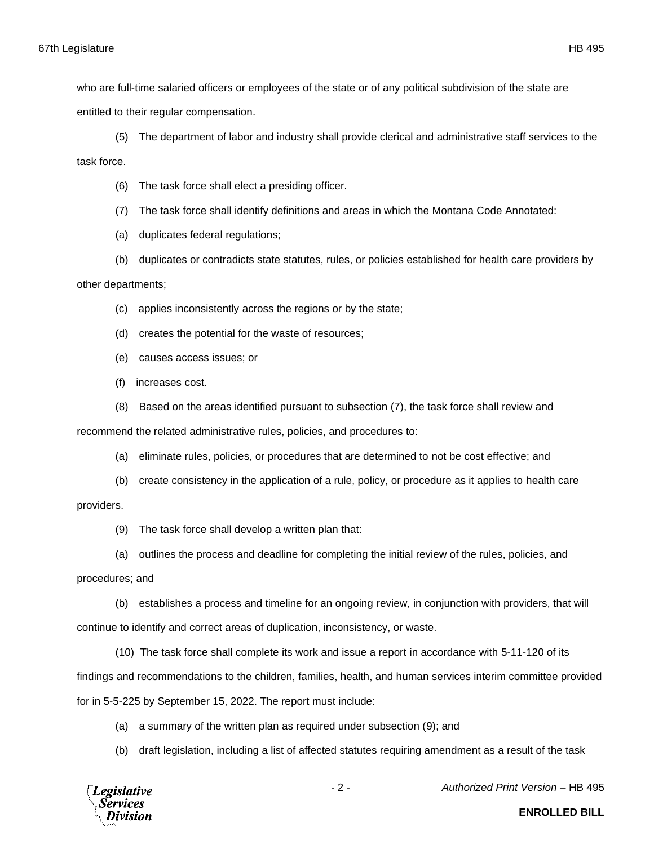who are full-time salaried officers or employees of the state or of any political subdivision of the state are entitled to their regular compensation.

(5) The department of labor and industry shall provide clerical and administrative staff services to the task force.

(6) The task force shall elect a presiding officer.

(7) The task force shall identify definitions and areas in which the Montana Code Annotated:

(a) duplicates federal regulations;

(b) duplicates or contradicts state statutes, rules, or policies established for health care providers by

other departments;

(c) applies inconsistently across the regions or by the state;

(d) creates the potential for the waste of resources;

(e) causes access issues; or

(f) increases cost.

(8) Based on the areas identified pursuant to subsection (7), the task force shall review and

recommend the related administrative rules, policies, and procedures to:

(a) eliminate rules, policies, or procedures that are determined to not be cost effective; and

(b) create consistency in the application of a rule, policy, or procedure as it applies to health care providers.

(9) The task force shall develop a written plan that:

(a) outlines the process and deadline for completing the initial review of the rules, policies, and

procedures; and

(b) establishes a process and timeline for an ongoing review, in conjunction with providers, that will

continue to identify and correct areas of duplication, inconsistency, or waste.

(10) The task force shall complete its work and issue a report in accordance with 5-11-120 of its

findings and recommendations to the children, families, health, and human services interim committee provided

for in 5-5-225 by September 15, 2022. The report must include:

(a) a summary of the written plan as required under subsection (9); and

(b) draft legislation, including a list of affected statutes requiring amendment as a result of the task



- 2 - *Authorized Print Version* – HB 495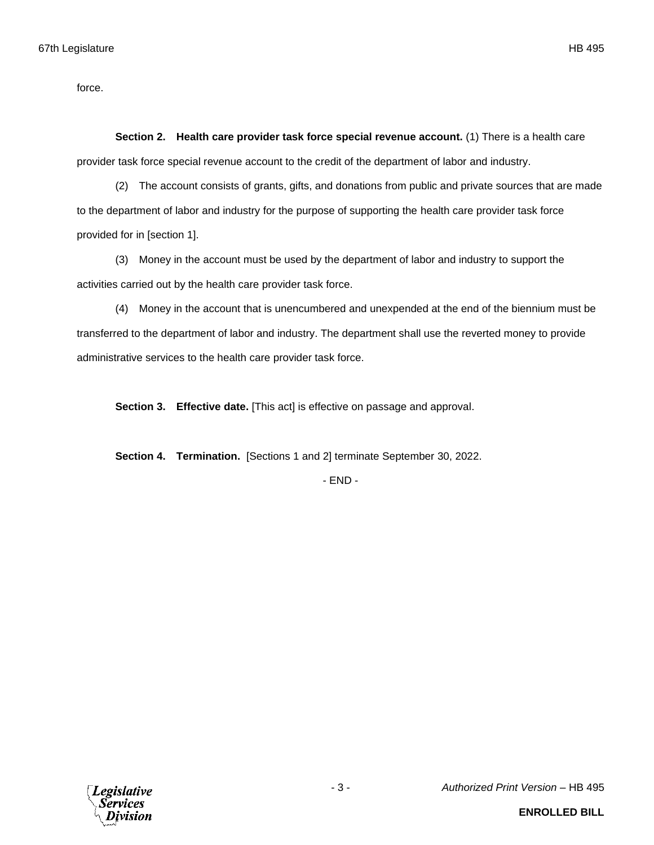force.

**Section 2. Health care provider task force special revenue account.** (1) There is a health care provider task force special revenue account to the credit of the department of labor and industry.

(2) The account consists of grants, gifts, and donations from public and private sources that are made to the department of labor and industry for the purpose of supporting the health care provider task force provided for in [section 1].

(3) Money in the account must be used by the department of labor and industry to support the activities carried out by the health care provider task force.

(4) Money in the account that is unencumbered and unexpended at the end of the biennium must be transferred to the department of labor and industry. The department shall use the reverted money to provide administrative services to the health care provider task force.

**Section 3. Effective date.** [This act] is effective on passage and approval.

**Section 4. Termination.** [Sections 1 and 2] terminate September 30, 2022.

- END -

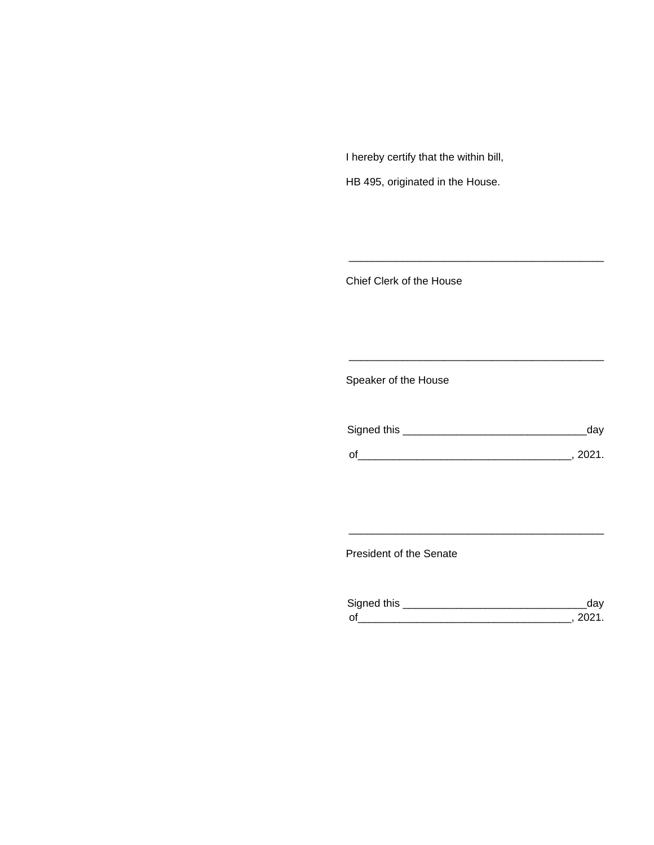I hereby certify that the within bill,

HB 495, originated in the House.

Chief Clerk of the House

Speaker of the House

| Signed this | day  |
|-------------|------|
| O'          | 2021 |

\_\_\_\_\_\_\_\_\_\_\_\_\_\_\_\_\_\_\_\_\_\_\_\_\_\_\_\_\_\_\_\_\_\_\_\_\_\_\_\_\_\_\_

\_\_\_\_\_\_\_\_\_\_\_\_\_\_\_\_\_\_\_\_\_\_\_\_\_\_\_\_\_\_\_\_\_\_\_\_\_\_\_\_\_\_\_

President of the Senate

| Sianed this |  |
|-------------|--|
| $\Omega$    |  |

\_\_\_\_\_\_\_\_\_\_\_\_\_\_\_\_\_\_\_\_\_\_\_\_\_\_\_\_\_\_\_\_\_\_\_\_\_\_\_\_\_\_\_